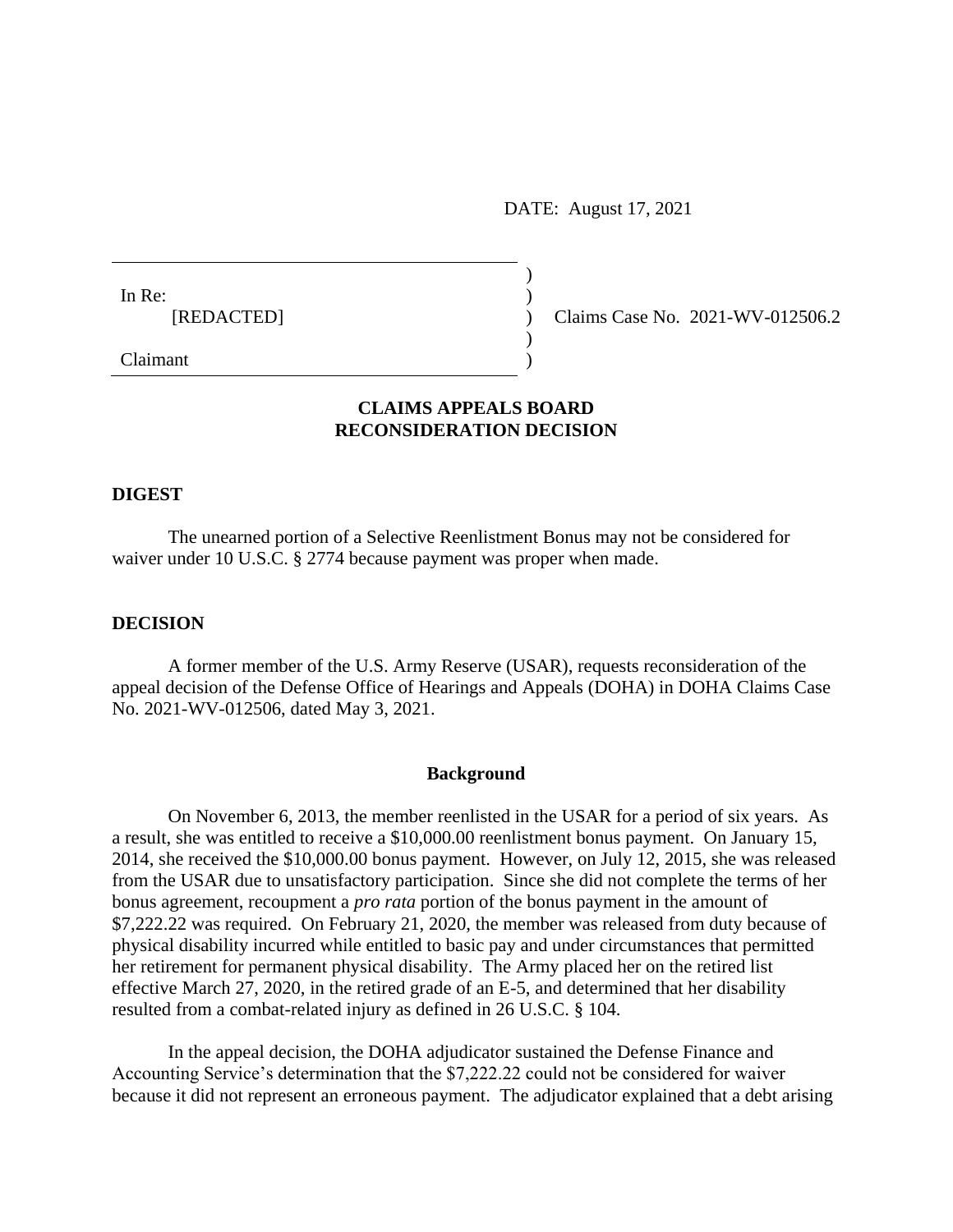DATE: August 17, 2021

In Re:  $\qquad \qquad$ ) [REDACTED] ) Claims Case No. 2021-WV-012506.2

Claimant )

# **CLAIMS APPEALS BOARD RECONSIDERATION DECISION**

)

)

### **DIGEST**

The unearned portion of a Selective Reenlistment Bonus may not be considered for waiver under 10 U.S.C. § 2774 because payment was proper when made.

## **DECISION**

A former member of the U.S. Army Reserve (USAR), requests reconsideration of the appeal decision of the Defense Office of Hearings and Appeals (DOHA) in DOHA Claims Case No. 2021-WV-012506, dated May 3, 2021.

### **Background**

On November 6, 2013, the member reenlisted in the USAR for a period of six years. As a result, she was entitled to receive a \$10,000.00 reenlistment bonus payment. On January 15, 2014, she received the \$10,000.00 bonus payment. However, on July 12, 2015, she was released from the USAR due to unsatisfactory participation. Since she did not complete the terms of her bonus agreement, recoupment a *pro rata* portion of the bonus payment in the amount of \$7,222.22 was required. On February 21, 2020, the member was released from duty because of physical disability incurred while entitled to basic pay and under circumstances that permitted her retirement for permanent physical disability. The Army placed her on the retired list effective March 27, 2020, in the retired grade of an E-5, and determined that her disability resulted from a combat-related injury as defined in 26 U.S.C. § 104.

In the appeal decision, the DOHA adjudicator sustained the Defense Finance and Accounting Service's determination that the \$7,222.22 could not be considered for waiver because it did not represent an erroneous payment. The adjudicator explained that a debt arising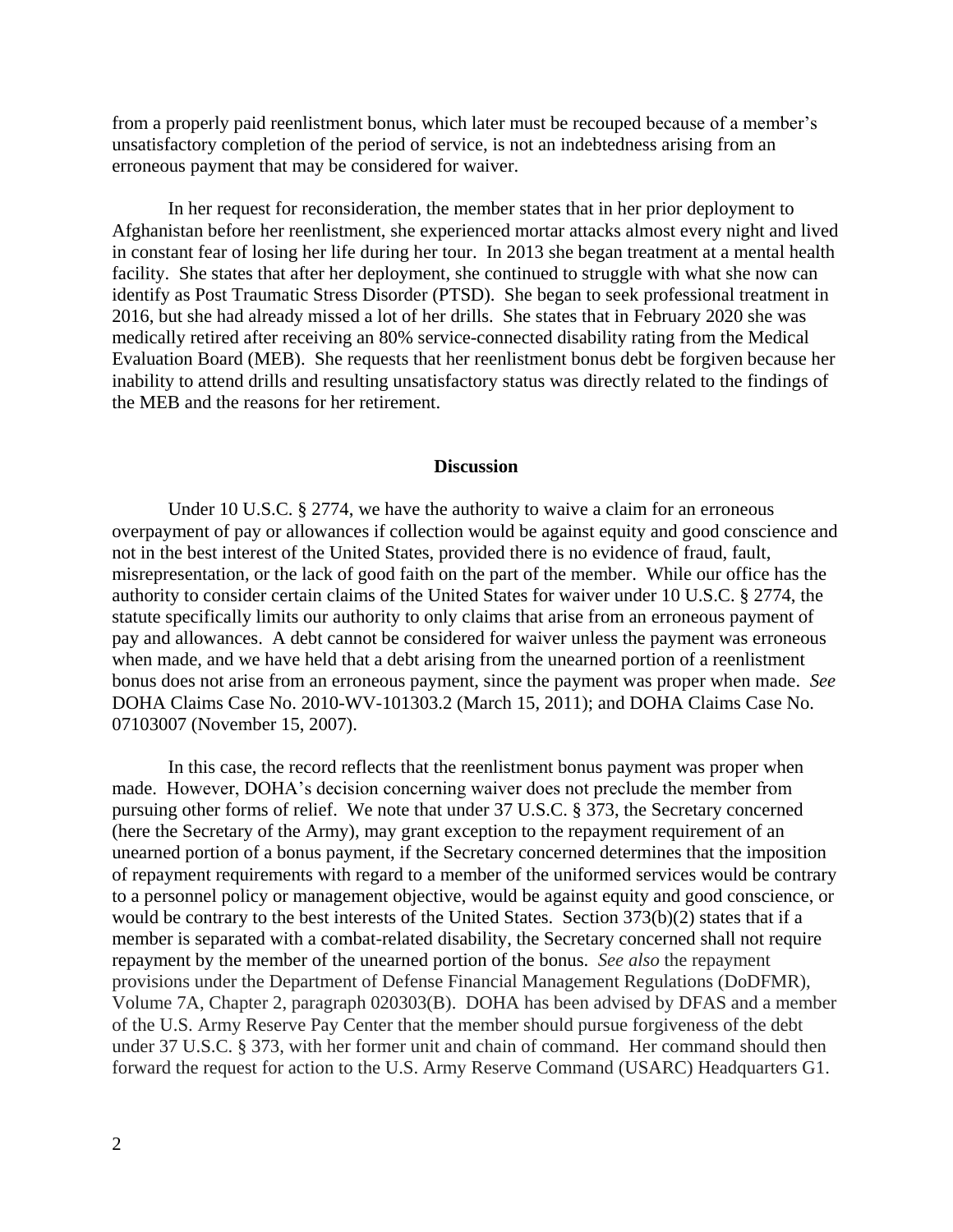from a properly paid reenlistment bonus, which later must be recouped because of a member's unsatisfactory completion of the period of service, is not an indebtedness arising from an erroneous payment that may be considered for waiver.

In her request for reconsideration, the member states that in her prior deployment to Afghanistan before her reenlistment, she experienced mortar attacks almost every night and lived in constant fear of losing her life during her tour. In 2013 she began treatment at a mental health facility. She states that after her deployment, she continued to struggle with what she now can identify as Post Traumatic Stress Disorder (PTSD). She began to seek professional treatment in 2016, but she had already missed a lot of her drills. She states that in February 2020 she was medically retired after receiving an 80% service-connected disability rating from the Medical Evaluation Board (MEB). She requests that her reenlistment bonus debt be forgiven because her inability to attend drills and resulting unsatisfactory status was directly related to the findings of the MEB and the reasons for her retirement.

#### **Discussion**

Under 10 U.S.C. § 2774, we have the authority to waive a claim for an erroneous overpayment of pay or allowances if collection would be against equity and good conscience and not in the best interest of the United States, provided there is no evidence of fraud, fault, misrepresentation, or the lack of good faith on the part of the member. While our office has the authority to consider certain claims of the United States for waiver under 10 U.S.C. § 2774, the statute specifically limits our authority to only claims that arise from an erroneous payment of pay and allowances. A debt cannot be considered for waiver unless the payment was erroneous when made, and we have held that a debt arising from the unearned portion of a reenlistment bonus does not arise from an erroneous payment, since the payment was proper when made. *See*  DOHA Claims Case No. 2010-WV-101303.2 (March 15, 2011); and DOHA Claims Case No. 07103007 (November 15, 2007).

In this case, the record reflects that the reenlistment bonus payment was proper when made. However, DOHA's decision concerning waiver does not preclude the member from pursuing other forms of relief. We note that under 37 U.S.C. § 373, the Secretary concerned (here the Secretary of the Army), may grant exception to the repayment requirement of an unearned portion of a bonus payment, if the Secretary concerned determines that the imposition of repayment requirements with regard to a member of the uniformed services would be contrary to a personnel policy or management objective, would be against equity and good conscience, or would be contrary to the best interests of the United States. Section 373(b)(2) states that if a member is separated with a combat-related disability, the Secretary concerned shall not require repayment by the member of the unearned portion of the bonus. *See also* the repayment provisions under the Department of Defense Financial Management Regulations (DoDFMR), Volume 7A, Chapter 2, paragraph 020303(B). DOHA has been advised by DFAS and a member of the U.S. Army Reserve Pay Center that the member should pursue forgiveness of the debt under 37 U.S.C. § 373, with her former unit and chain of command. Her command should then forward the request for action to the U.S. Army Reserve Command (USARC) Headquarters G1.